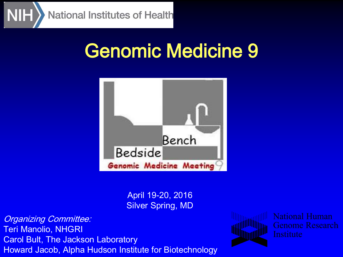

# Genomic Medicine 9



April 19-20, 2016 Silver Spring, MD

Organizing Committee: Teri Manolio, NHGRI Carol Bult, The Jackson Laboratory Howard Jacob, Alpha Hudson Institute for Biotechnology



National Human **Genome Research Institute**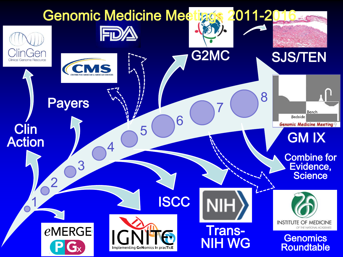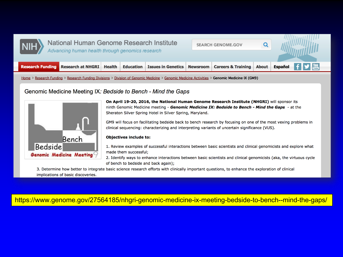

### National Human Genome Research Institute Advancing human health through genomics research

**SEARCH GENOME.GOV** 

Q



Home > Research Funding > Research Funding Divisions > Division of Genomic Medicine > Genomic Medicine Activities > Genomic Medicine IX (GM9)

### Genomic Medicine Meeting IX: Bedside to Bench - Mind the Gaps



On April 19-20, 2016, the National Human Genome Research Institute (NHGRI) will sponsor its ninth Genomic Medicine meeting - Genomic Medicine IX: Bedside to Bench - Mind the Gaps - at the Sheraton Silver Spring Hotel in Silver Spring, Maryland.

GM9 will focus on facilitating bedside back to bench research by focusing on one of the most vexing problems in clinical sequencing: characterizing and interpreting variants of uncertain significance (VUS).

#### **Objectives include to:**

- 1. Review examples of successful interactions between basic scientists and clinical genomicists and explore what made them successful;
- 2. Identify ways to enhance interactions between basic scientists and clinical genomicists (aka, the virtuous cycle of bench to bedside and back again);

3. Determine how better to integrate basic science research efforts with clinically important questions, to enhance the exploration of clinical implications of basic discoveries.

### https://www.genome.gov/27564185/nhgri-genomic-medicine-ix-meeting-bedside-to-bench--mind-the-gaps/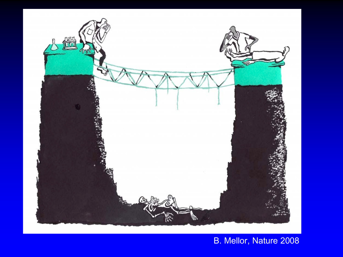

B. Mellor, Nature 2008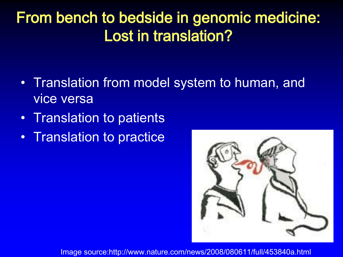## From bench to bedside in genomic medicine: Lost in translation?

- Translation from model system to human, and vice versa
- Translation to patients
- Translation to practice



Image source:http://www.nature.com/news/2008/080611/full/453840a.html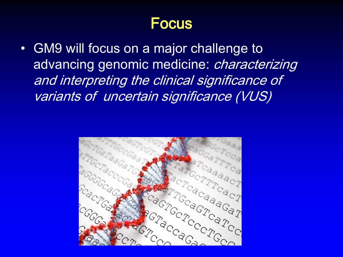### **Focus**

• GM9 will focus on a major challenge to advancing genomic medicine: *characterizing* and interpreting the clinical significance of variants of uncertain significance (VUS)

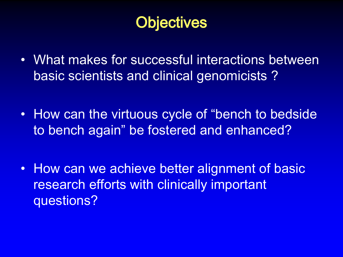## **Objectives**

- What makes for successful interactions between basic scientists and clinical genomicists ?
- How can the virtuous cycle of "bench to bedside to bench again" be fostered and enhanced?
- How can we achieve better alignment of basic research efforts with clinically important questions?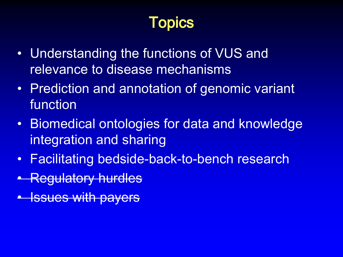## Topics

- Understanding the functions of VUS and relevance to disease mechanisms
- Prediction and annotation of genomic variant function
- Biomedical ontologies for data and knowledge integration and sharing
- Facilitating bedside-back-to-bench research
- Regulatory hurdles
- Issues with payers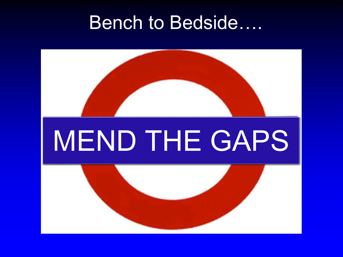## **Bench to Bedside....**